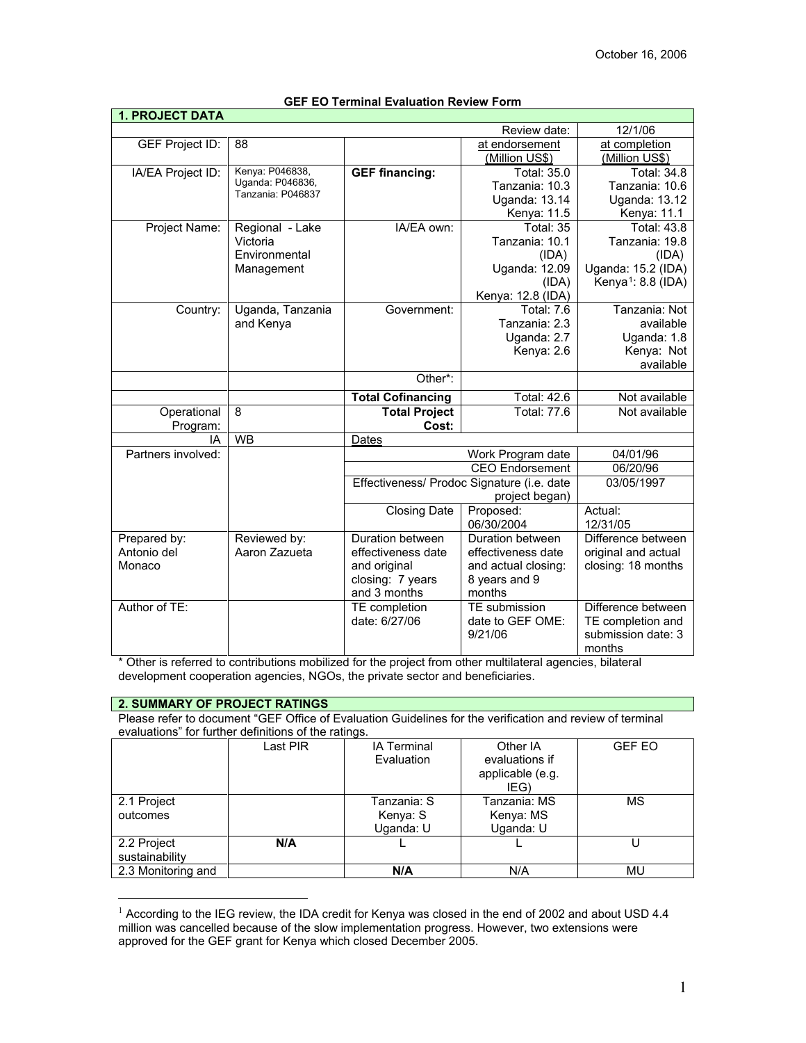| I. FRUJEVI DAIA    |                                       |                          |                                            |                                |
|--------------------|---------------------------------------|--------------------------|--------------------------------------------|--------------------------------|
|                    |                                       |                          | Review date:                               | 12/1/06                        |
| GEF Project ID:    | 88                                    |                          | at endorsement                             | at completion                  |
|                    |                                       |                          | (Million US\$)                             | (Million US\$)                 |
| IA/EA Project ID:  | Kenya: P046838,                       | <b>GEF financing:</b>    | <b>Total: 35.0</b>                         | <b>Total: 34.8</b>             |
|                    | Uganda: P046836,<br>Tanzania: P046837 |                          | Tanzania: 10.3                             | Tanzania: 10.6                 |
|                    |                                       |                          | <b>Uganda: 13.14</b>                       | <b>Uganda: 13.12</b>           |
|                    |                                       |                          | Kenya: 11.5                                | Kenya: 11.1                    |
| Project Name:      | Regional - Lake                       | IA/EA own:               | Total: 35                                  | <b>Total: 43.8</b>             |
|                    | Victoria                              |                          | Tanzania: 10.1                             | Tanzania: 19.8                 |
|                    | Environmental                         |                          | (IDA)                                      | (IDA)                          |
|                    | Management                            |                          | Uganda: 12.09                              | Uganda: 15.2 (IDA)             |
|                    |                                       |                          | (IDA)                                      | Kenya <sup>1</sup> : 8.8 (IDA) |
|                    |                                       |                          | Kenya: 12.8 (IDA)                          |                                |
| Country:           | Uganda, Tanzania                      | Government:              | <b>Total: 7.6</b>                          | Tanzania: Not                  |
|                    | and Kenya                             |                          | Tanzania: 2.3                              | available                      |
|                    |                                       |                          | Uganda: 2.7                                | Uganda: 1.8                    |
|                    |                                       |                          | Kenya: 2.6                                 | Kenya: Not                     |
|                    |                                       |                          |                                            | available                      |
|                    |                                       | Other*:                  |                                            |                                |
|                    |                                       | <b>Total Cofinancing</b> | <b>Total: 42.6</b>                         | Not available                  |
| Operational        | 8                                     | <b>Total Project</b>     | Total: 77.6                                | Not available                  |
| Program:           |                                       | Cost:                    |                                            |                                |
| IΑ                 | <b>WB</b>                             | Dates                    |                                            |                                |
| Partners involved: |                                       | Work Program date        |                                            | 04/01/96                       |
|                    |                                       |                          | <b>CEO Endorsement</b>                     | 06/20/96                       |
|                    |                                       |                          | Effectiveness/ Prodoc Signature (i.e. date | 03/05/1997                     |
|                    |                                       |                          | project began)                             |                                |
|                    |                                       | <b>Closing Date</b>      | Proposed:                                  | Actual:                        |
|                    |                                       |                          | 06/30/2004                                 | 12/31/05                       |
| Prepared by:       | Reviewed by:                          | Duration between         | Duration between                           | Difference between             |
| Antonio del        | Aaron Zazueta                         | effectiveness date       | effectiveness date                         | original and actual            |
| Monaco             |                                       | and original             | and actual closing:                        | closing: 18 months             |
|                    |                                       | closing: 7 years         | 8 years and 9                              |                                |
|                    |                                       | and 3 months             | months                                     |                                |
| Author of TE:      |                                       | TE completion            | TE submission                              | Difference between             |
|                    |                                       | date: 6/27/06            | date to GEF OME:                           | TE completion and              |
|                    |                                       |                          | 9/21/06                                    | submission date: 3             |
|                    |                                       |                          |                                            | months                         |

### **GEF EO Terminal Evaluation Review Form**

\* Other is referred to contributions mobilized for the project from other multilateral agencies, bilateral development cooperation agencies, NGOs, the private sector and beneficiaries.

#### **2. SUMMARY OF PROJECT RATINGS**

 $\overline{a}$ 

**1. PROJECT DATA**

Please refer to document "GEF Office of Evaluation Guidelines for the verification and review of terminal evaluations" for further definitions of the ratings.

|                    | Last PIR | <b>IA Terminal</b><br>Evaluation | Other IA<br>evaluations if<br>applicable (e.g. | <b>GEF EO</b> |
|--------------------|----------|----------------------------------|------------------------------------------------|---------------|
|                    |          |                                  | IEG)                                           |               |
| 2.1 Project        |          | Tanzania: S                      | Tanzania: MS                                   | MS            |
| outcomes           |          | Kenya: S                         | Kenya: MS                                      |               |
|                    |          | Uganda: U                        | Uganda: U                                      |               |
| 2.2 Project        | N/A      |                                  |                                                |               |
| sustainability     |          |                                  |                                                |               |
| 2.3 Monitoring and |          | N/A                              | N/A                                            | MU            |

<span id="page-0-0"></span><sup>&</sup>lt;sup>1</sup> According to the IEG review, the IDA credit for Kenya was closed in the end of 2002 and about USD 4.4 million was cancelled because of the slow implementation progress. However, two extensions were approved for the GEF grant for Kenya which closed December 2005.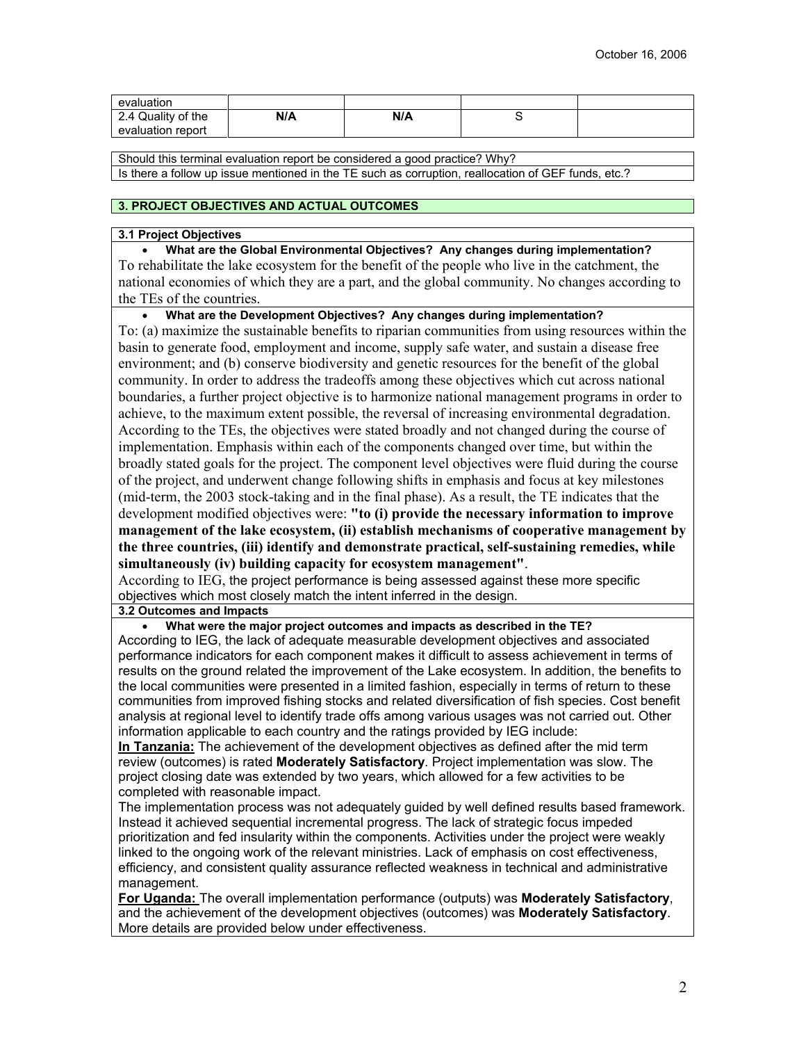| evaluation         |     |     |  |
|--------------------|-----|-----|--|
| 2.4 Quality of the | N/A | N/A |  |
| evaluation report  |     |     |  |

Should this terminal evaluation report be considered a good practice? Why? Is there a follow up issue mentioned in the TE such as corruption, reallocation of GEF funds, etc.?

#### **3. PROJECT OBJECTIVES AND ACTUAL OUTCOMES**

#### **3.1 Project Objectives**

• **What are the Global Environmental Objectives? Any changes during implementation?** To rehabilitate the lake ecosystem for the benefit of the people who live in the catchment, the national economies of which they are a part, and the global community. No changes according to the TEs of the countries.

• **What are the Development Objectives? Any changes during implementation?**

To: (a) maximize the sustainable benefits to riparian communities from using resources within the basin to generate food, employment and income, supply safe water, and sustain a disease free environment; and (b) conserve biodiversity and genetic resources for the benefit of the global community. In order to address the tradeoffs among these objectives which cut across national boundaries, a further project objective is to harmonize national management programs in order to achieve, to the maximum extent possible, the reversal of increasing environmental degradation. According to the TEs, the objectives were stated broadly and not changed during the course of implementation. Emphasis within each of the components changed over time, but within the broadly stated goals for the project. The component level objectives were fluid during the course of the project, and underwent change following shifts in emphasis and focus at key milestones (mid-term, the 2003 stock-taking and in the final phase). As a result, the TE indicates that the development modified objectives were: **"to (i) provide the necessary information to improve management of the lake ecosystem, (ii) establish mechanisms of cooperative management by the three countries, (iii) identify and demonstrate practical, self-sustaining remedies, while simultaneously (iv) building capacity for ecosystem management"**.

According to IEG, the project performance is being assessed against these more specific objectives which most closely match the intent inferred in the design.

**3.2 Outcomes and Impacts**

• **What were the major project outcomes and impacts as described in the TE?**

According to IEG, the lack of adequate measurable development objectives and associated performance indicators for each component makes it difficult to assess achievement in terms of results on the ground related the improvement of the Lake ecosystem. In addition, the benefits to the local communities were presented in a limited fashion, especially in terms of return to these communities from improved fishing stocks and related diversification of fish species. Cost benefit analysis at regional level to identify trade offs among various usages was not carried out. Other information applicable to each country and the ratings provided by IEG include:

**In Tanzania:** The achievement of the development objectives as defined after the mid term review (outcomes) is rated **Moderately Satisfactory**. Project implementation was slow. The project closing date was extended by two years, which allowed for a few activities to be completed with reasonable impact.

The implementation process was not adequately guided by well defined results based framework. Instead it achieved sequential incremental progress. The lack of strategic focus impeded prioritization and fed insularity within the components. Activities under the project were weakly linked to the ongoing work of the relevant ministries. Lack of emphasis on cost effectiveness, efficiency, and consistent quality assurance reflected weakness in technical and administrative management.

**For Uganda:** The overall implementation performance (outputs) was **Moderately Satisfactory**, and the achievement of the development objectives (outcomes) was **Moderately Satisfactory**. More details are provided below under effectiveness.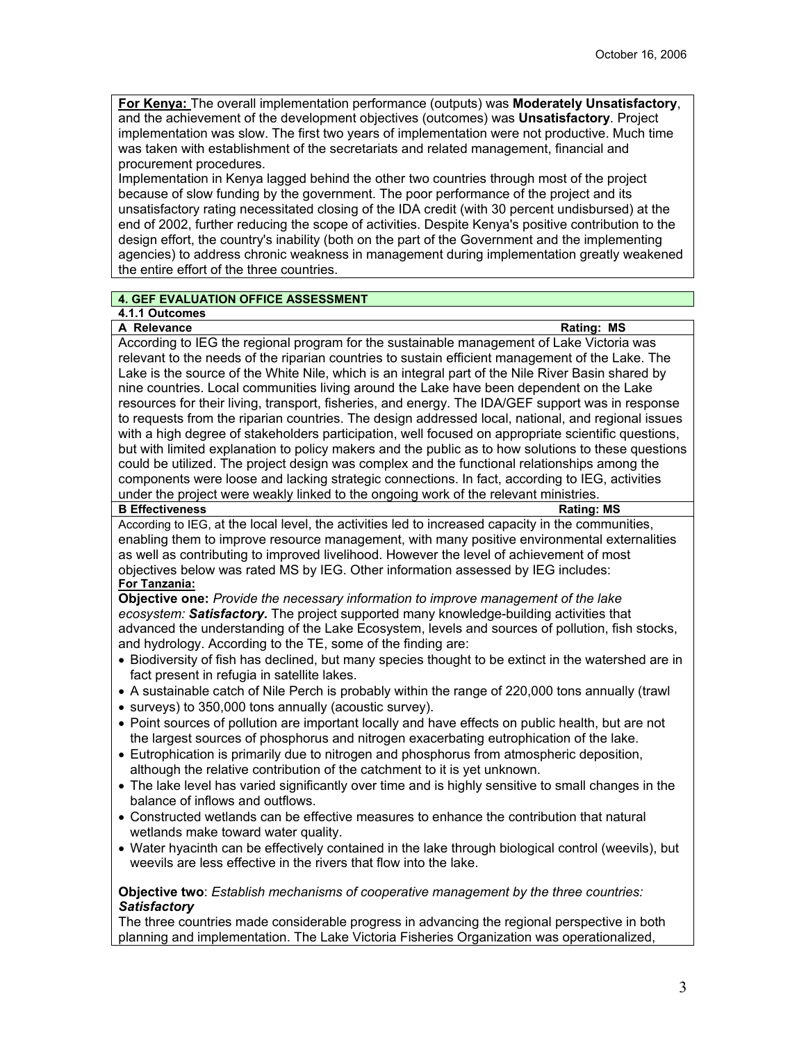**For Kenya:** The overall implementation performance (outputs) was **Moderately Unsatisfactory**, and the achievement of the development objectives (outcomes) was **Unsatisfactory**. Project implementation was slow. The first two years of implementation were not productive. Much time was taken with establishment of the secretariats and related management, financial and procurement procedures.

Implementation in Kenya lagged behind the other two countries through most of the project because of slow funding by the government. The poor performance of the project and its unsatisfactory rating necessitated closing of the IDA credit (with 30 percent undisbursed) at the end of 2002, further reducing the scope of activities. Despite Kenya's positive contribution to the design effort, the country's inability (both on the part of the Government and the implementing agencies) to address chronic weakness in management during implementation greatly weakened the entire effort of the three countries.

# **4. GEF EVALUATION OFFICE ASSESSMENT**

# **4.1.1 Outcomes**

**A Relevance** Rating: MS

According to IEG the regional program for the sustainable management of Lake Victoria was relevant to the needs of the riparian countries to sustain efficient management of the Lake. The Lake is the source of the White Nile, which is an integral part of the Nile River Basin shared by nine countries. Local communities living around the Lake have been dependent on the Lake resources for their living, transport, fisheries, and energy. The IDA/GEF support was in response to requests from the riparian countries. The design addressed local, national, and regional issues with a high degree of stakeholders participation, well focused on appropriate scientific questions, but with limited explanation to policy makers and the public as to how solutions to these questions could be utilized. The project design was complex and the functional relationships among the components were loose and lacking strategic connections. In fact, according to IEG, activities under the project were weakly linked to the ongoing work of the relevant ministries.<br>B Effectiveness **Rating: MS** 

### **B Effectiveness**

According to IEG, at the local level, the activities led to increased capacity in the communities, enabling them to improve resource management, with many positive environmental externalities as well as contributing to improved livelihood. However the level of achievement of most objectives below was rated MS by IEG. Other information assessed by IEG includes:

# **For Tanzania:**

**Objective one:** *Provide the necessary information to improve management of the lake ecosystem: Satisfactory.* The project supported many knowledge-building activities that advanced the understanding of the Lake Ecosystem, levels and sources of pollution, fish stocks, and hydrology. According to the TE, some of the finding are:

- Biodiversity of fish has declined, but many species thought to be extinct in the watershed are in fact present in refugia in satellite lakes.
- A sustainable catch of Nile Perch is probably within the range of 220,000 tons annually (trawl
- surveys) to 350,000 tons annually (acoustic survey).
- Point sources of pollution are important locally and have effects on public health, but are not the largest sources of phosphorus and nitrogen exacerbating eutrophication of the lake.
- Eutrophication is primarily due to nitrogen and phosphorus from atmospheric deposition, although the relative contribution of the catchment to it is yet unknown.
- The lake level has varied significantly over time and is highly sensitive to small changes in the balance of inflows and outflows.
- Constructed wetlands can be effective measures to enhance the contribution that natural wetlands make toward water quality.
- Water hyacinth can be effectively contained in the lake through biological control (weevils), but weevils are less effective in the rivers that flow into the lake.

### **Objective two**: *Establish mechanisms of cooperative management by the three countries: Satisfactory*

The three countries made considerable progress in advancing the regional perspective in both planning and implementation. The Lake Victoria Fisheries Organization was operationalized,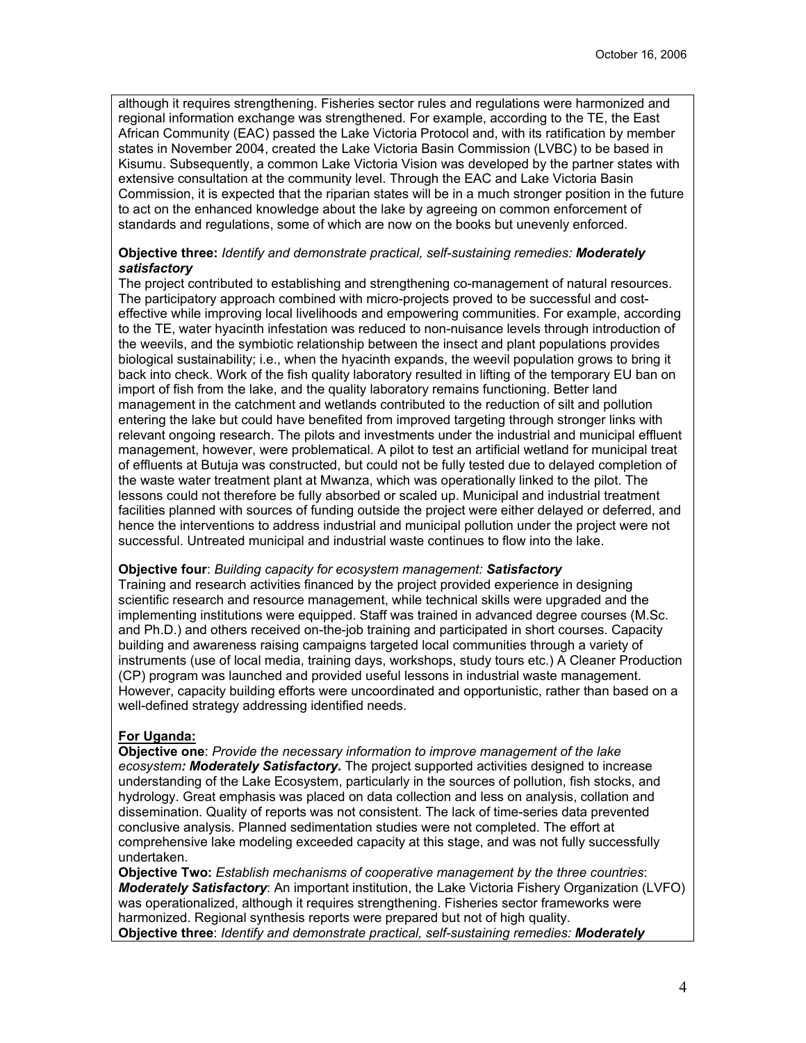although it requires strengthening. Fisheries sector rules and regulations were harmonized and regional information exchange was strengthened. For example, according to the TE, the East African Community (EAC) passed the Lake Victoria Protocol and, with its ratification by member states in November 2004, created the Lake Victoria Basin Commission (LVBC) to be based in Kisumu. Subsequently, a common Lake Victoria Vision was developed by the partner states with extensive consultation at the community level. Through the EAC and Lake Victoria Basin Commission, it is expected that the riparian states will be in a much stronger position in the future to act on the enhanced knowledge about the lake by agreeing on common enforcement of standards and regulations, some of which are now on the books but unevenly enforced.

# **Objective three:** *Identify and demonstrate practical, self-sustaining remedies: Moderately satisfactory*

The project contributed to establishing and strengthening co-management of natural resources. The participatory approach combined with micro-projects proved to be successful and costeffective while improving local livelihoods and empowering communities. For example, according to the TE, water hyacinth infestation was reduced to non-nuisance levels through introduction of the weevils, and the symbiotic relationship between the insect and plant populations provides biological sustainability; i.e., when the hyacinth expands, the weevil population grows to bring it back into check. Work of the fish quality laboratory resulted in lifting of the temporary EU ban on import of fish from the lake, and the quality laboratory remains functioning. Better land management in the catchment and wetlands contributed to the reduction of silt and pollution entering the lake but could have benefited from improved targeting through stronger links with relevant ongoing research. The pilots and investments under the industrial and municipal effluent management, however, were problematical. A pilot to test an artificial wetland for municipal treat of effluents at Butuja was constructed, but could not be fully tested due to delayed completion of the waste water treatment plant at Mwanza, which was operationally linked to the pilot. The lessons could not therefore be fully absorbed or scaled up. Municipal and industrial treatment facilities planned with sources of funding outside the project were either delayed or deferred, and hence the interventions to address industrial and municipal pollution under the project were not successful. Untreated municipal and industrial waste continues to flow into the lake.

### **Objective four**: *Building capacity for ecosystem management: Satisfactory*

Training and research activities financed by the project provided experience in designing scientific research and resource management, while technical skills were upgraded and the implementing institutions were equipped. Staff was trained in advanced degree courses (M.Sc. and Ph.D.) and others received on-the-job training and participated in short courses. Capacity building and awareness raising campaigns targeted local communities through a variety of instruments (use of local media, training days, workshops, study tours etc.) A Cleaner Production (CP) program was launched and provided useful lessons in industrial waste management. However, capacity building efforts were uncoordinated and opportunistic, rather than based on a well-defined strategy addressing identified needs.

# **For Uganda:**

**Objective one**: *Provide the necessary information to improve management of the lake ecosystem: Moderately Satisfactory.* The project supported activities designed to increase understanding of the Lake Ecosystem, particularly in the sources of pollution, fish stocks, and hydrology. Great emphasis was placed on data collection and less on analysis, collation and dissemination. Quality of reports was not consistent. The lack of time-series data prevented conclusive analysis. Planned sedimentation studies were not completed. The effort at comprehensive lake modeling exceeded capacity at this stage, and was not fully successfully undertaken.

**Objective Two:** *Establish mechanisms of cooperative management by the three countries*: *Moderately Satisfactory*: An important institution, the Lake Victoria Fishery Organization (LVFO) was operationalized, although it requires strengthening. Fisheries sector frameworks were harmonized. Regional synthesis reports were prepared but not of high quality. **Objective three**: *Identify and demonstrate practical, self-sustaining remedies: Moderately*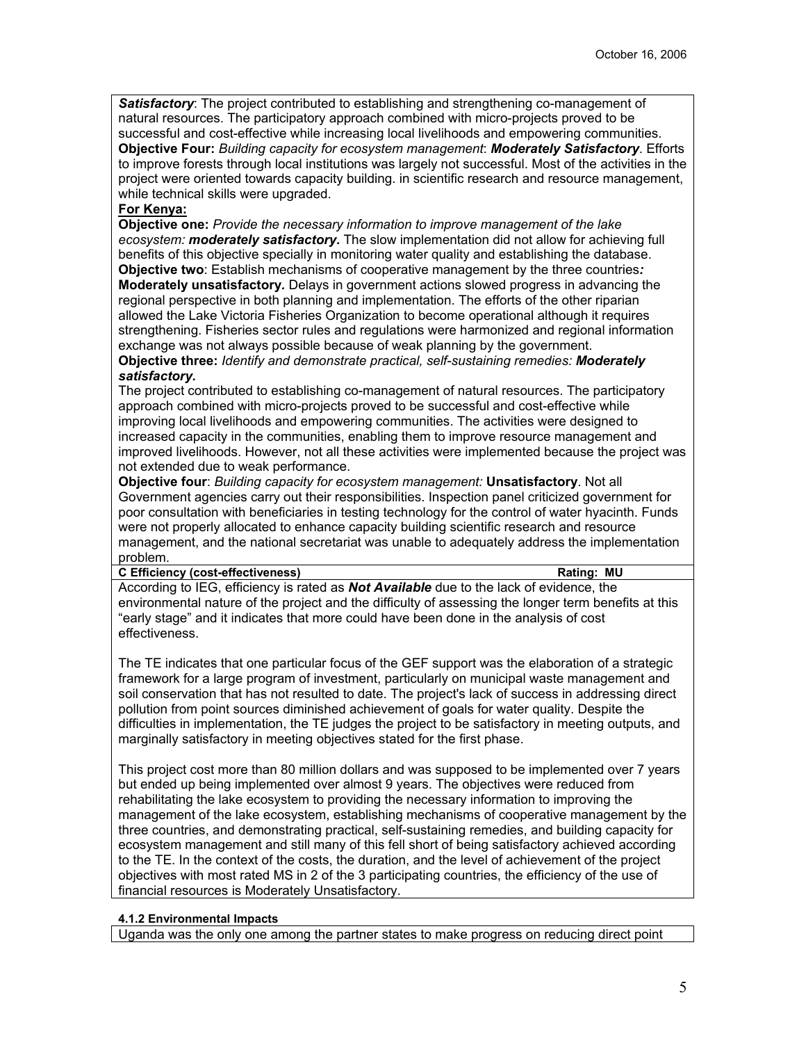**Satisfactory**: The project contributed to establishing and strengthening co-management of natural resources. The participatory approach combined with micro-projects proved to be successful and cost-effective while increasing local livelihoods and empowering communities. **Objective Four:** *Building capacity for ecosystem management*: *Moderately Satisfactory*. Efforts to improve forests through local institutions was largely not successful. Most of the activities in the project were oriented towards capacity building. in scientific research and resource management, while technical skills were upgraded.

# **For Kenya:**

**Objective one:** *Provide the necessary information to improve management of the lake ecosystem: moderately satisfactory.* The slow implementation did not allow for achieving full benefits of this objective specially in monitoring water quality and establishing the database. **Objective two**: Establish mechanisms of cooperative management by the three countries*:*  **Moderately unsatisfactory***.* Delays in government actions slowed progress in advancing the regional perspective in both planning and implementation. The efforts of the other riparian allowed the Lake Victoria Fisheries Organization to become operational although it requires strengthening. Fisheries sector rules and regulations were harmonized and regional information exchange was not always possible because of weak planning by the government.

**Objective three:** *Identify and demonstrate practical, self-sustaining remedies: Moderately satisfactory.*

The project contributed to establishing co-management of natural resources. The participatory approach combined with micro-projects proved to be successful and cost-effective while improving local livelihoods and empowering communities. The activities were designed to increased capacity in the communities, enabling them to improve resource management and improved livelihoods. However, not all these activities were implemented because the project was not extended due to weak performance.

**Objective four**: *Building capacity for ecosystem management:* **Unsatisfactory**. Not all Government agencies carry out their responsibilities. Inspection panel criticized government for poor consultation with beneficiaries in testing technology for the control of water hyacinth. Funds were not properly allocated to enhance capacity building scientific research and resource management, and the national secretariat was unable to adequately address the implementation problem.

#### **C Efficiency (cost-effectiveness) Rating: MU**

According to IEG, efficiency is rated as *Not Available* due to the lack of evidence, the environmental nature of the project and the difficulty of assessing the longer term benefits at this "early stage" and it indicates that more could have been done in the analysis of cost effectiveness.

The TE indicates that one particular focus of the GEF support was the elaboration of a strategic framework for a large program of investment, particularly on municipal waste management and soil conservation that has not resulted to date. The project's lack of success in addressing direct pollution from point sources diminished achievement of goals for water quality. Despite the difficulties in implementation, the TE judges the project to be satisfactory in meeting outputs, and marginally satisfactory in meeting objectives stated for the first phase.

This project cost more than 80 million dollars and was supposed to be implemented over 7 years but ended up being implemented over almost 9 years. The objectives were reduced from rehabilitating the lake ecosystem to providing the necessary information to improving the management of the lake ecosystem, establishing mechanisms of cooperative management by the three countries, and demonstrating practical, self-sustaining remedies, and building capacity for ecosystem management and still many of this fell short of being satisfactory achieved according to the TE. In the context of the costs, the duration, and the level of achievement of the project objectives with most rated MS in 2 of the 3 participating countries, the efficiency of the use of financial resources is Moderately Unsatisfactory.

# **4.1.2 Environmental Impacts**

Uganda was the only one among the partner states to make progress on reducing direct point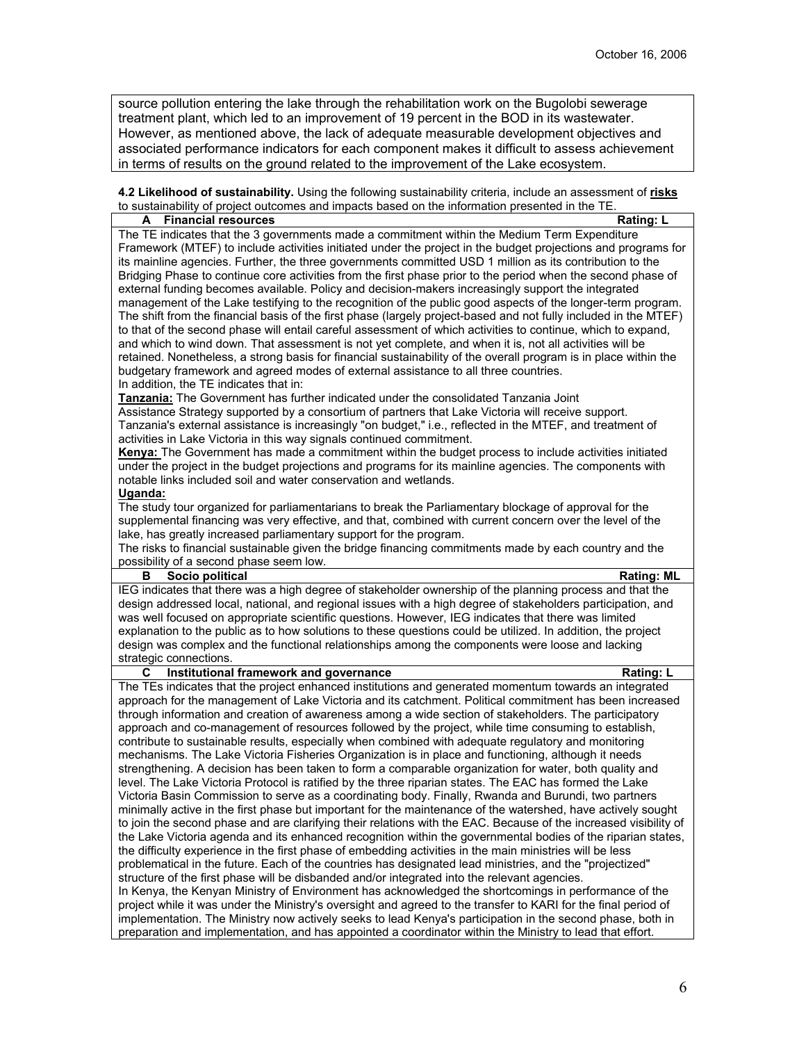source pollution entering the lake through the rehabilitation work on the Bugolobi sewerage treatment plant, which led to an improvement of 19 percent in the BOD in its wastewater. However, as mentioned above, the lack of adequate measurable development objectives and associated performance indicators for each component makes it difficult to assess achievement in terms of results on the ground related to the improvement of the Lake ecosystem.

**4.2 Likelihood of sustainability.** Using the following sustainability criteria, include an assessment of **risks** to sustainability of project outcomes and impacts based on the information presented in the TE **A Financial resources Rating: L**

The TE indicates that the 3 governments made a commitment within the Medium Term Expenditure Framework (MTEF) to include activities initiated under the project in the budget projections and programs for its mainline agencies. Further, the three governments committed USD 1 million as its contribution to the Bridging Phase to continue core activities from the first phase prior to the period when the second phase of external funding becomes available. Policy and decision-makers increasingly support the integrated management of the Lake testifying to the recognition of the public good aspects of the longer-term program. The shift from the financial basis of the first phase (largely project-based and not fully included in the MTEF) to that of the second phase will entail careful assessment of which activities to continue, which to expand, and which to wind down. That assessment is not yet complete, and when it is, not all activities will be retained. Nonetheless, a strong basis for financial sustainability of the overall program is in place within the budgetary framework and agreed modes of external assistance to all three countries. In addition, the TE indicates that in:

**Tanzania:** The Government has further indicated under the consolidated Tanzania Joint Assistance Strategy supported by a consortium of partners that Lake Victoria will receive support. Tanzania's external assistance is increasingly "on budget," i.e., reflected in the MTEF, and treatment of activities in Lake Victoria in this way signals continued commitment.

**Kenya:** The Government has made a commitment within the budget process to include activities initiated under the project in the budget projections and programs for its mainline agencies. The components with notable links included soil and water conservation and wetlands.

#### **Uganda:**

The study tour organized for parliamentarians to break the Parliamentary blockage of approval for the supplemental financing was very effective, and that, combined with current concern over the level of the lake, has greatly increased parliamentary support for the program.

The risks to financial sustainable given the bridge financing commitments made by each country and the possibility of a second phase seem low.

#### **B** Socio political **Rating:** ML

IEG indicates that there was a high degree of stakeholder ownership of the planning process and that the design addressed local, national, and regional issues with a high degree of stakeholders participation, and was well focused on appropriate scientific questions. However, IEG indicates that there was limited explanation to the public as to how solutions to these questions could be utilized. In addition, the project design was complex and the functional relationships among the components were loose and lacking strategic connections.

# **C Institutional framework and governance Rating: L**

The TEs indicates that the project enhanced institutions and generated momentum towards an integrated approach for the management of Lake Victoria and its catchment. Political commitment has been increased through information and creation of awareness among a wide section of stakeholders. The participatory approach and co-management of resources followed by the project, while time consuming to establish, contribute to sustainable results, especially when combined with adequate regulatory and monitoring mechanisms. The Lake Victoria Fisheries Organization is in place and functioning, although it needs strengthening. A decision has been taken to form a comparable organization for water, both quality and level. The Lake Victoria Protocol is ratified by the three riparian states. The EAC has formed the Lake Victoria Basin Commission to serve as a coordinating body. Finally, Rwanda and Burundi, two partners minimally active in the first phase but important for the maintenance of the watershed, have actively sought to join the second phase and are clarifying their relations with the EAC. Because of the increased visibility of the Lake Victoria agenda and its enhanced recognition within the governmental bodies of the riparian states, the difficulty experience in the first phase of embedding activities in the main ministries will be less problematical in the future. Each of the countries has designated lead ministries, and the "projectized" structure of the first phase will be disbanded and/or integrated into the relevant agencies. In Kenya, the Kenyan Ministry of Environment has acknowledged the shortcomings in performance of the project while it was under the Ministry's oversight and agreed to the transfer to KARI for the final period of implementation. The Ministry now actively seeks to lead Kenya's participation in the second phase, both in preparation and implementation, and has appointed a coordinator within the Ministry to lead that effort.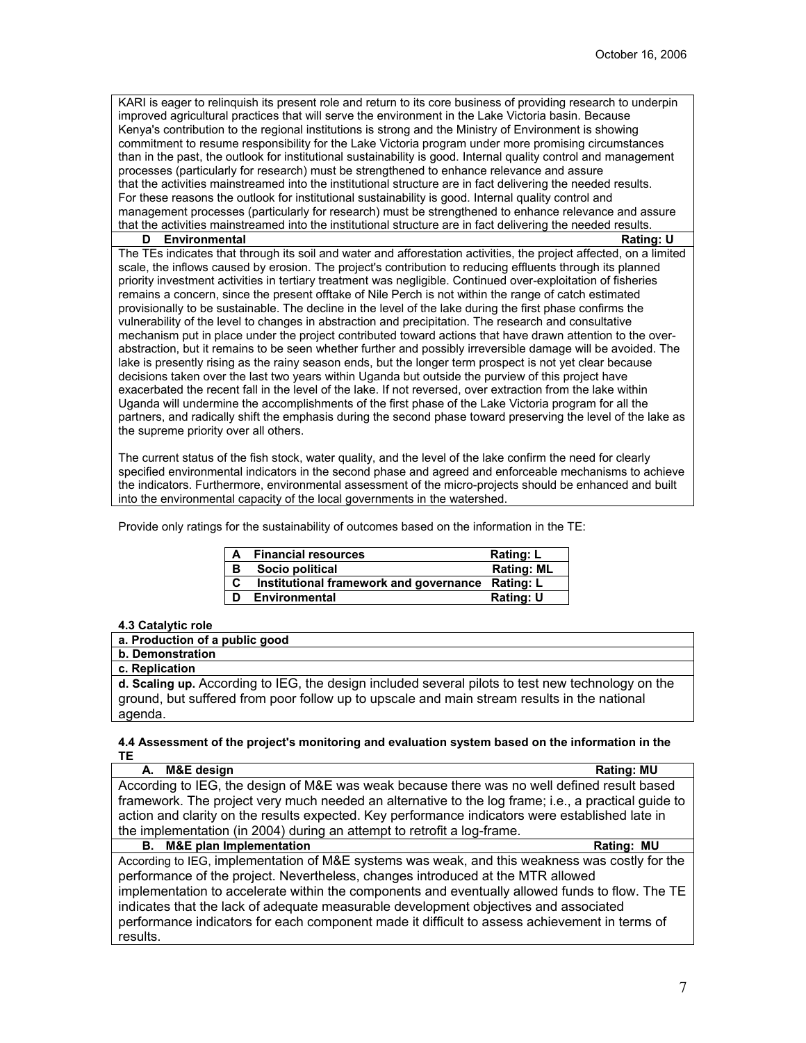KARI is eager to relinquish its present role and return to its core business of providing research to underpin improved agricultural practices that will serve the environment in the Lake Victoria basin. Because Kenya's contribution to the regional institutions is strong and the Ministry of Environment is showing commitment to resume responsibility for the Lake Victoria program under more promising circumstances than in the past, the outlook for institutional sustainability is good. Internal quality control and management processes (particularly for research) must be strengthened to enhance relevance and assure that the activities mainstreamed into the institutional structure are in fact delivering the needed results. For these reasons the outlook for institutional sustainability is good. Internal quality control and management processes (particularly for research) must be strengthened to enhance relevance and assure that the activities mainstreamed into the institutional structure are in fact delivering the needed results.

#### **D** Environmental Rating: U

The TEs indicates that through its soil and water and afforestation activities, the project affected, on a limited scale, the inflows caused by erosion. The project's contribution to reducing effluents through its planned priority investment activities in tertiary treatment was negligible. Continued over-exploitation of fisheries remains a concern, since the present offtake of Nile Perch is not within the range of catch estimated provisionally to be sustainable. The decline in the level of the lake during the first phase confirms the vulnerability of the level to changes in abstraction and precipitation. The research and consultative mechanism put in place under the project contributed toward actions that have drawn attention to the overabstraction, but it remains to be seen whether further and possibly irreversible damage will be avoided. The lake is presently rising as the rainy season ends, but the longer term prospect is not yet clear because decisions taken over the last two years within Uganda but outside the purview of this project have exacerbated the recent fall in the level of the lake. If not reversed, over extraction from the lake within Uganda will undermine the accomplishments of the first phase of the Lake Victoria program for all the partners, and radically shift the emphasis during the second phase toward preserving the level of the lake as the supreme priority over all others.

The current status of the fish stock, water quality, and the level of the lake confirm the need for clearly specified environmental indicators in the second phase and agreed and enforceable mechanisms to achieve the indicators. Furthermore, environmental assessment of the micro-projects should be enhanced and built into the environmental capacity of the local governments in the watershed.

Provide only ratings for the sustainability of outcomes based on the information in the TE:

| A | <b>Financial resources</b>                       | Rating: L         |
|---|--------------------------------------------------|-------------------|
| в | Socio political                                  | <b>Rating: ML</b> |
| C | Institutional framework and governance Rating: L |                   |
| D | Environmental                                    | Rating: U         |

#### **4.3 Catalytic role**

| a. Production of a public good                                                                    |
|---------------------------------------------------------------------------------------------------|
| b. Demonstration                                                                                  |
| c. Replication                                                                                    |
| d. Scaling up. According to IEG, the design included several pilots to test new technology on the |
| ground, but suffered from poor follow up to upscale and main stream results in the national       |
| agenda.                                                                                           |
|                                                                                                   |

#### **4.4 Assessment of the project's monitoring and evaluation system based on the information in the TE**

| A. M&E design                                                                                       | <b>Rating: MU</b> |
|-----------------------------------------------------------------------------------------------------|-------------------|
| According to IEG, the design of M&E was weak because there was no well defined result based         |                   |
| framework. The project very much needed an alternative to the log frame; i.e., a practical guide to |                   |
| action and clarity on the results expected. Key performance indicators were established late in     |                   |
| the implementation (in 2004) during an attempt to retrofit a log-frame.                             |                   |
| <b>B.</b> M&E plan Implementation                                                                   | Rating: MU        |
| According to IEG, implementation of M&E systems was weak, and this weakness was costly for the      |                   |
| performance of the project. Nevertheless, changes introduced at the MTR allowed                     |                   |
| implementation to accelerate within the components and eventually allowed funds to flow. The TE     |                   |
| indicates that the lack of adequate measurable development objectives and associated                |                   |
| performance indicators for each component made it difficult to assess achievement in terms of       |                   |
| results.                                                                                            |                   |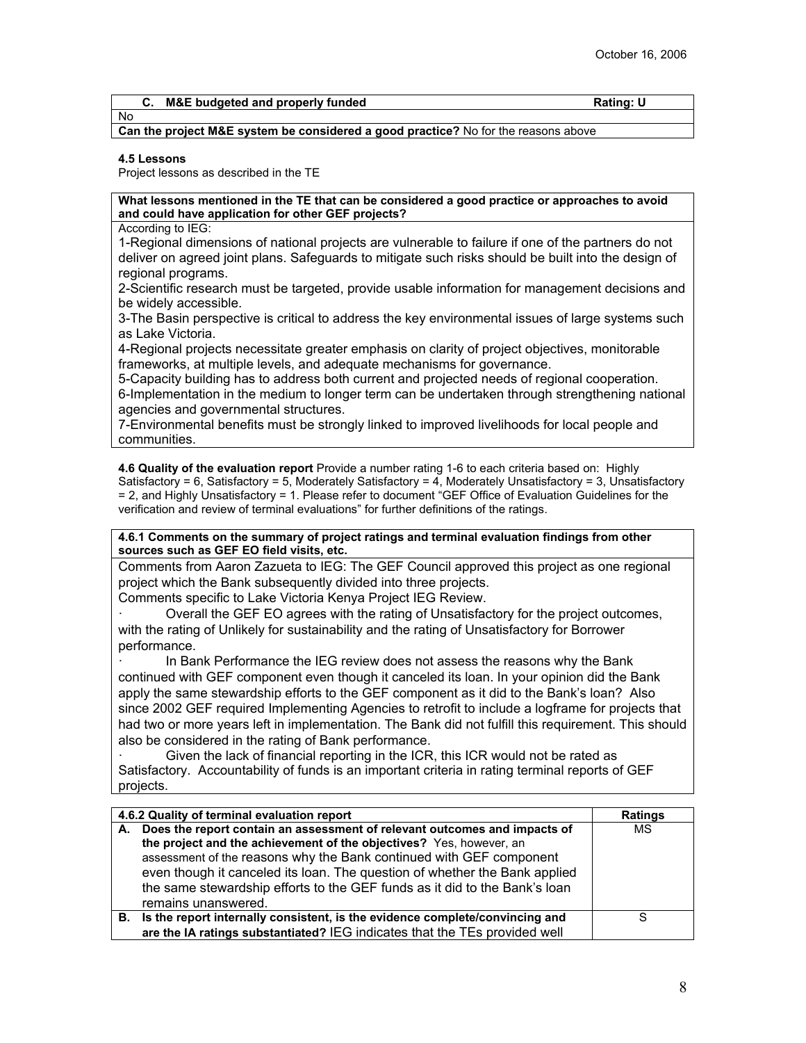#### **C.** M&E budgeted and properly funded Rating: U No

# **Can the project M&E system be considered a good practice?** No for the reasons above

#### **4.5 Lessons**

Project lessons as described in the TE

#### **What lessons mentioned in the TE that can be considered a good practice or approaches to avoid and could have application for other GEF projects?**

According to IEG:

1-Regional dimensions of national projects are vulnerable to failure if one of the partners do not deliver on agreed joint plans. Safeguards to mitigate such risks should be built into the design of regional programs.

2-Scientific research must be targeted, provide usable information for management decisions and be widely accessible.

3-The Basin perspective is critical to address the key environmental issues of large systems such as Lake Victoria.

4-Regional projects necessitate greater emphasis on clarity of project objectives, monitorable frameworks, at multiple levels, and adequate mechanisms for governance.

5-Capacity building has to address both current and projected needs of regional cooperation. 6-Implementation in the medium to longer term can be undertaken through strengthening national agencies and governmental structures.

7-Environmental benefits must be strongly linked to improved livelihoods for local people and communities.

**4.6 Quality of the evaluation report** Provide a number rating 1-6 to each criteria based on: Highly Satisfactory = 6, Satisfactory = 5, Moderately Satisfactory = 4, Moderately Unsatisfactory = 3, Unsatisfactory = 2, and Highly Unsatisfactory = 1. Please refer to document "GEF Office of Evaluation Guidelines for the verification and review of terminal evaluations" for further definitions of the ratings.

**4.6.1 Comments on the summary of project ratings and terminal evaluation findings from other sources such as GEF EO field visits, etc.**

Comments from Aaron Zazueta to IEG: The GEF Council approved this project as one regional project which the Bank subsequently divided into three projects.

Comments specific to Lake Victoria Kenya Project IEG Review.

· Overall the GEF EO agrees with the rating of Unsatisfactory for the project outcomes, with the rating of Unlikely for sustainability and the rating of Unsatisfactory for Borrower performance.

In Bank Performance the IEG review does not assess the reasons why the Bank continued with GEF component even though it canceled its loan. In your opinion did the Bank apply the same stewardship efforts to the GEF component as it did to the Bank's loan? Also since 2002 GEF required Implementing Agencies to retrofit to include a logframe for projects that had two or more years left in implementation. The Bank did not fulfill this requirement. This should also be considered in the rating of Bank performance.

Given the lack of financial reporting in the ICR, this ICR would not be rated as Satisfactory. Accountability of funds is an important criteria in rating terminal reports of GEF projects.

| 4.6.2 Quality of terminal evaluation report                                                                                                                                                                                                                                                                                                                                                                   | <b>Ratings</b> |
|---------------------------------------------------------------------------------------------------------------------------------------------------------------------------------------------------------------------------------------------------------------------------------------------------------------------------------------------------------------------------------------------------------------|----------------|
| A. Does the report contain an assessment of relevant outcomes and impacts of<br>the project and the achievement of the objectives? Yes, however, an<br>assessment of the reasons why the Bank continued with GEF component<br>even though it canceled its loan. The question of whether the Bank applied<br>the same stewardship efforts to the GEF funds as it did to the Bank's loan<br>remains unanswered. | MS             |
| B. Is the report internally consistent, is the evidence complete/convincing and                                                                                                                                                                                                                                                                                                                               | S              |
| are the IA ratings substantiated? IEG indicates that the TEs provided well                                                                                                                                                                                                                                                                                                                                    |                |